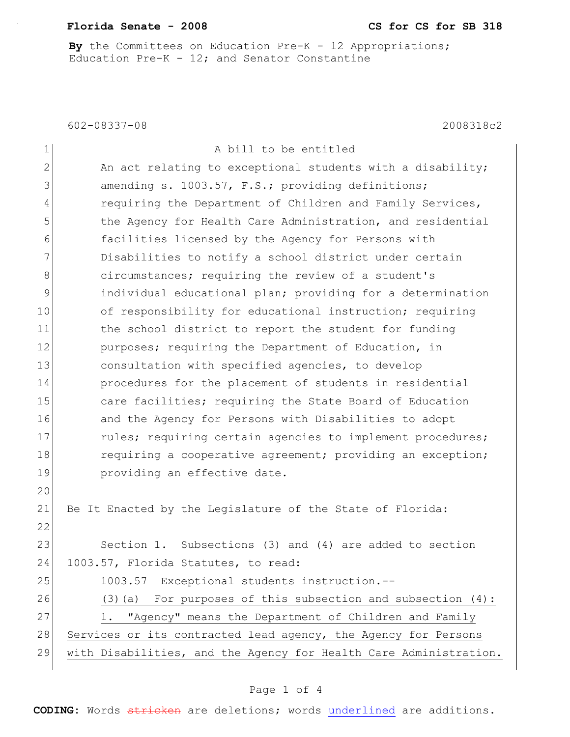## **Florida Senate - 2008 CS for CS for SB 318**

**By** the Committees on Education Pre-K - 12 Appropriations; Education Pre-K - 12; and Senator Constantine

602-08337-08 2008318c2

| $\mathbf 1$  | A bill to be entitled                                             |
|--------------|-------------------------------------------------------------------|
| $\mathbf{2}$ | An act relating to exceptional students with a disability;        |
| 3            | amending s. 1003.57, F.S.; providing definitions;                 |
| 4            | requiring the Department of Children and Family Services,         |
| 5            | the Agency for Health Care Administration, and residential        |
| 6            | facilities licensed by the Agency for Persons with                |
| 7            | Disabilities to notify a school district under certain            |
| 8            | circumstances; requiring the review of a student's                |
| $\mathsf 9$  | individual educational plan; providing for a determination        |
| 10           | of responsibility for educational instruction; requiring          |
| 11           | the school district to report the student for funding             |
| 12           | purposes; requiring the Department of Education, in               |
| 13           | consultation with specified agencies, to develop                  |
| 14           | procedures for the placement of students in residential           |
| 15           | care facilities; requiring the State Board of Education           |
| 16           | and the Agency for Persons with Disabilities to adopt             |
| 17           | rules; requiring certain agencies to implement procedures;        |
| 18           | requiring a cooperative agreement; providing an exception;        |
| 19           | providing an effective date.                                      |
| 20           |                                                                   |
| 21           | Be It Enacted by the Legislature of the State of Florida:         |
| 22           |                                                                   |
| 23           | Section 1. Subsections (3) and (4) are added to section           |
| 24           | 1003.57, Florida Statutes, to read:                               |
| 25           | Exceptional students instruction.--<br>1003.57                    |
| 26           | For purposes of this subsection and subsection $(4)$ :<br>(3) (a) |
| 27           | "Agency" means the Department of Children and Family<br>1.        |
| 28           | Services or its contracted lead agency, the Agency for Persons    |
| 29           | with Disabilities, and the Agency for Health Care Administration. |
|              |                                                                   |

## Page 1 of 4

**CODING:** Words stricken are deletions; words underlined are additions.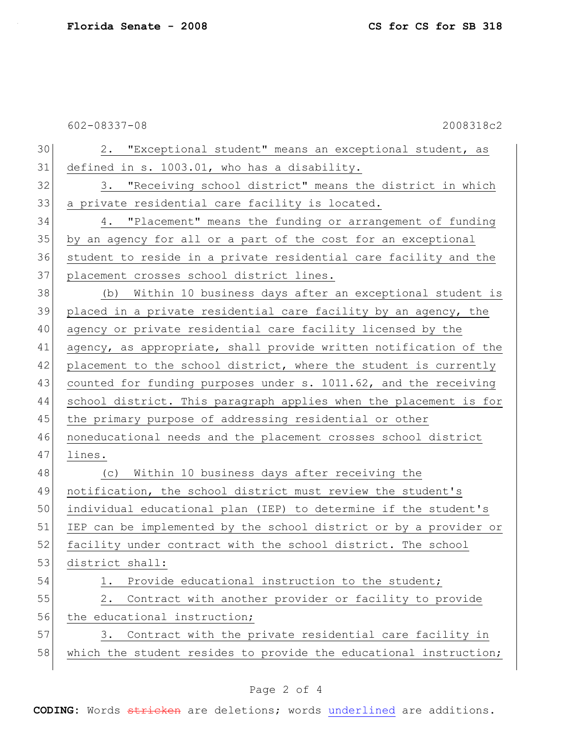602-08337-08 2008318c2

| 30 | 2. "Exceptional student" means an exceptional student, as         |
|----|-------------------------------------------------------------------|
| 31 | defined in s. 1003.01, who has a disability.                      |
| 32 | 3. "Receiving school district" means the district in which        |
| 33 | a private residential care facility is located.                   |
| 34 | 4. "Placement" means the funding or arrangement of funding        |
| 35 | by an agency for all or a part of the cost for an exceptional     |
| 36 | student to reside in a private residential care facility and the  |
| 37 | placement crosses school district lines.                          |
| 38 | (b) Within 10 business days after an exceptional student is       |
| 39 | placed in a private residential care facility by an agency, the   |
| 40 | agency or private residential care facility licensed by the       |
| 41 | agency, as appropriate, shall provide written notification of the |
| 42 | placement to the school district, where the student is currently  |
| 43 | counted for funding purposes under s. 1011.62, and the receiving  |
| 44 | school district. This paragraph applies when the placement is for |
| 45 | the primary purpose of addressing residential or other            |
| 46 | noneducational needs and the placement crosses school district    |
| 47 | lines.                                                            |
| 48 | Within 10 business days after receiving the<br>(C)                |
| 49 | notification, the school district must review the student's       |
| 50 | individual educational plan (IEP) to determine if the student's   |
| 51 | IEP can be implemented by the school district or by a provider or |
| 52 | facility under contract with the school district. The school      |
| 53 | district shall:                                                   |
| 54 | Provide educational instruction to the student;<br>1.             |
| 55 | Contract with another provider or facility to provide<br>2.       |
| 56 | the educational instruction;                                      |
| 57 | Contract with the private residential care facility in<br>3.      |
| 58 | which the student resides to provide the educational instruction; |
|    |                                                                   |

## Page 2 of 4

**CODING:** Words stricken are deletions; words underlined are additions.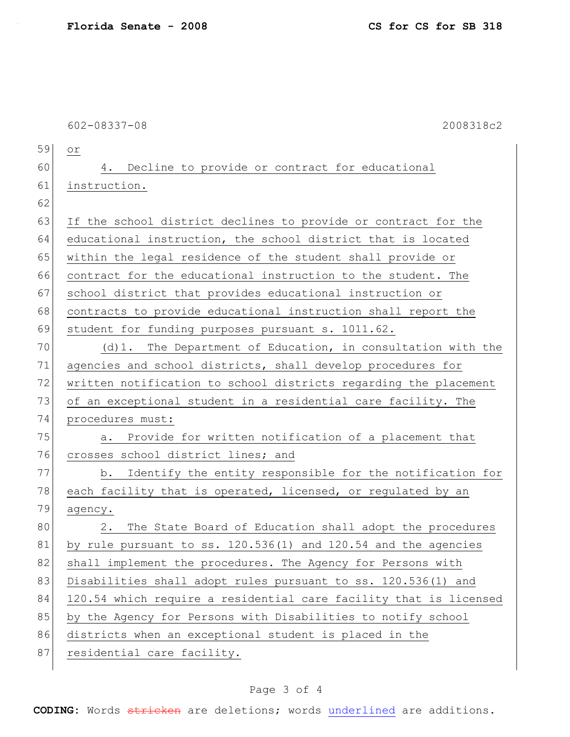|    | $602 - 08337 - 08$<br>2008318c2                                   |
|----|-------------------------------------------------------------------|
| 59 | Оr                                                                |
| 60 | 4. Decline to provide or contract for educational                 |
| 61 | instruction.                                                      |
| 62 |                                                                   |
| 63 | If the school district declines to provide or contract for the    |
| 64 | educational instruction, the school district that is located      |
| 65 | within the legal residence of the student shall provide or        |
| 66 | contract for the educational instruction to the student. The      |
| 67 | school district that provides educational instruction or          |
| 68 | contracts to provide educational instruction shall report the     |
| 69 | student for funding purposes pursuant s. 1011.62.                 |
| 70 | (d) 1. The Department of Education, in consultation with the      |
| 71 | agencies and school districts, shall develop procedures for       |
| 72 | written notification to school districts regarding the placement  |
| 73 | of an exceptional student in a residential care facility. The     |
| 74 | procedures must:                                                  |
| 75 | a. Provide for written notification of a placement that           |
| 76 | crosses school district lines; and                                |
| 77 | Identify the entity responsible for the notification for<br>b.    |
| 78 | each facility that is operated, licensed, or regulated by an      |
| 79 | agency.                                                           |
| 80 | The State Board of Education shall adopt the procedures<br>$2$ .  |
| 81 | by rule pursuant to ss. 120.536(1) and 120.54 and the agencies    |
| 82 | shall implement the procedures. The Agency for Persons with       |
| 83 | Disabilities shall adopt rules pursuant to ss. 120.536(1) and     |
| 84 | 120.54 which require a residential care facility that is licensed |
| 85 | by the Agency for Persons with Disabilities to notify school      |
| 86 | districts when an exceptional student is placed in the            |
| 87 | residential care facility.                                        |
|    |                                                                   |

## Page 3 of 4

**CODING:** Words stricken are deletions; words underlined are additions.